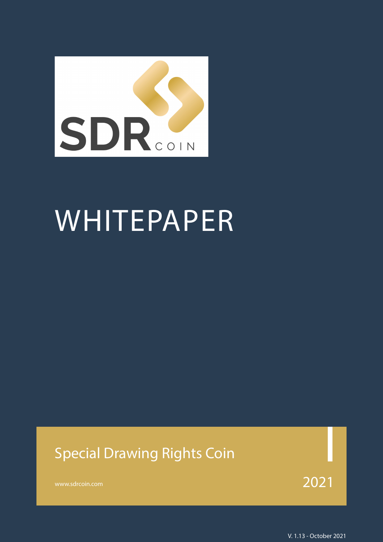

# WHITEPAPER

#### Special Drawing Rights Coin

[www.sdrcoin.com](http://www.sdrcoin.com)  $2021$ 

V. 1.13 - October 2021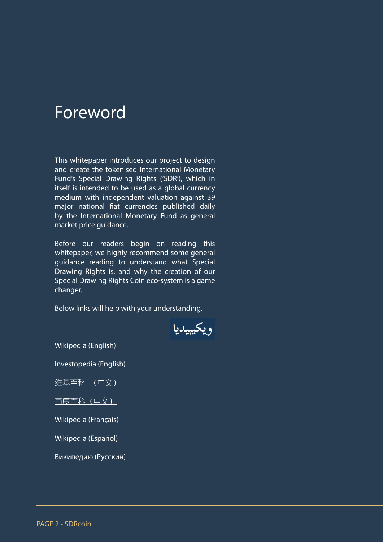#### <span id="page-1-0"></span>Foreword

This whitepaper introduces our project to design and create the tokenised International Monetary Fund's Special Drawing Rights ('SDR'), which in itself is intended to be used as a global currency medium with independent valuation against 39 major national fiat currencies published daily by the International Monetary Fund as general market price guidance.

Before our readers begin on reading this whitepaper, we highly recommend some general guidance reading to understand what Special Drawing Rights is, and why the creation of our Special Drawing Rights Coin eco-system is a game changer.

Below links will help with your understanding.



[Wikipedia \(English\)](https://en.wikipedia.org/wiki/Special_drawing_rights) 

[Investopedia \(English\)](https://www.investopedia.com/terms/s/sdr.asp) 

[维基百科 \(中文\)](https://zh.wikipedia.org/wiki/%E7%89%B9%E5%88%AB%E6%8F%90%E6%AC%BE%E6%9D%83)

[百度百科\(中文\)](https://baike.baidu.com/item/%E7%89%B9%E5%88%AB%E6%8F%90%E6%AC%BE%E6%9D%83/248098?fr=aladdin)

[Wikipédia \(Français\)](https://fr.wikipedia.org/wiki/Droits_de_tirage_sp%C3%A9ciaux) 

[Wikipedia \(Español\)](https://es.wikipedia.org/wiki/Derechos_especiales_de_giro)

[Википедию \(Русский\)](https://ru.wikipedia.org/wiki/%D0%A1%D0%BF%D0%B5%D1%86%D0%B8%D0%B0%D0%BB%D1%8C%D0%BD%D1%8B%D0%B5_%D0%BF%D1%80%D0%B0%D0%B2%D0%B0_%D0%B7%D0%B0%D0%B8%D0%BC%D1%81%D1%82%D0%B2%D0%BE%D0%B2%D0%B0%D0%BD%D0%B8%D1%8F)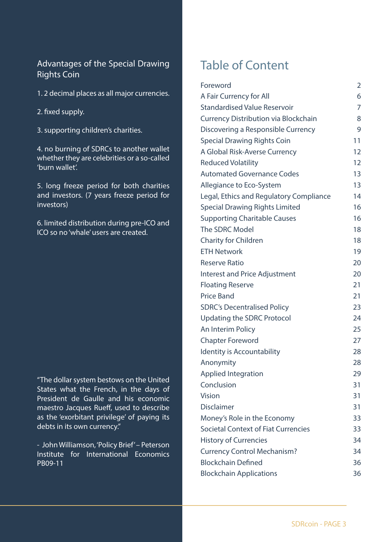#### Advantages of the Special Drawing Rights Coin

- 1. 2 decimal places as all major currencies.
- 2. fixed supply.
- 3. supporting children's charities.

4. no burning of SDRCs to another wallet whether they are celebrities or a so-called 'burn wallet'.

5. long freeze period for both charities and investors. (7 years freeze period for investors)

6. limited distribution during pre-ICO and ICO so no 'whale' users are created.

"The dollar system bestows on the United States what the French, in the days of President de Gaulle and his economic maestro Jacques Rueff, used to describe as the 'exorbitant privilege' of paying its debts in its own currency."

- John Williamson, 'Policy Brief' – Peterson Institute for International Economics PB09-11

#### Table of Content

| Foreword                                    | 2  |
|---------------------------------------------|----|
| A Fair Currency for All                     | 6  |
| <b>Standardised Value Reservoir</b>         | 7  |
| <b>Currency Distribution via Blockchain</b> | 8  |
| Discovering a Responsible Currency          | 9  |
| <b>Special Drawing Rights Coin</b>          | 11 |
| A Global Risk-Averse Currency               | 12 |
| <b>Reduced Volatility</b>                   | 12 |
| <b>Automated Governance Codes</b>           | 13 |
| Allegiance to Eco-System                    | 13 |
| Legal, Ethics and Regulatory Compliance     | 14 |
| <b>Special Drawing Rights Limited</b>       | 16 |
| <b>Supporting Charitable Causes</b>         | 16 |
| The SDRC Model                              | 18 |
| <b>Charity for Children</b>                 | 18 |
| <b>ETH Network</b>                          | 19 |
| <b>Reserve Ratio</b>                        | 20 |
| <b>Interest and Price Adjustment</b>        | 20 |
| <b>Floating Reserve</b>                     | 21 |
| <b>Price Band</b>                           | 21 |
| <b>SDRC's Decentralised Policy</b>          | 23 |
| <b>Updating the SDRC Protocol</b>           | 24 |
| An Interim Policy                           | 25 |
| <b>Chapter Foreword</b>                     | 27 |
| Identity is Accountability                  | 28 |
| Anonymity                                   | 28 |
| <b>Applied Integration</b>                  | 29 |
| Conclusion                                  | 31 |
| <b>Vision</b>                               | 31 |
| <b>Disclaimer</b>                           | 31 |
| Money's Role in the Economy                 | 33 |
| <b>Societal Context of Fiat Currencies</b>  | 33 |
| <b>History of Currencies</b>                | 34 |
| <b>Currency Control Mechanism?</b>          | 34 |
| <b>Blockchain Defined</b>                   | 36 |
| <b>Blockchain Applications</b>              | 36 |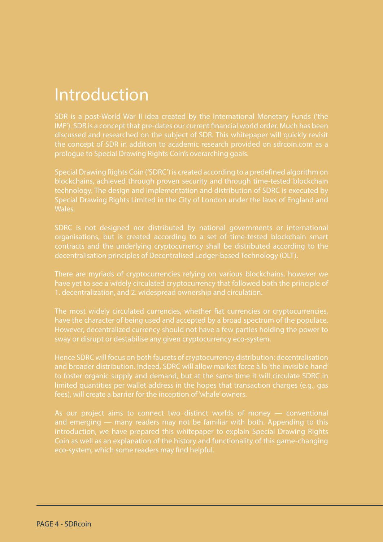#### Introduction

SDR is a post-World War II idea created by the International Monetary Funds ('the IMF'). SDR is a concept that pre-dates our current financial world order. Much has been discussed and researched on the subject of SDR. This whitepaper will quickly revisit the concept of SDR in addition to academic research provided on sdrcoin.com as a prologue to Special Drawing Rights Coin's overarching goals.

Special Drawing Rights Coin ('SDRC') is created according to a predefined algorithm on blockchains, achieved through proven security and through time-tested blockchain technology. The design and implementation and distribution of SDRC is executed by Special Drawing Rights Limited in the City of London under the laws of England and Wales.

contracts and the underlying cryptocurrency shall be distributed according to the decentralisation principles of Decentralised Ledger-based Technology (DLT).

There are myriads of cryptocurrencies relying on various blockchains, however we have yet to see a widely circulated cryptocurrency that followed both the principle of

The most widely circulated currencies, whether fiat currencies or cryptocurrencies, have the character of being used and accepted by a broad spectrum of the populace. sway or disrupt or destabilise any given cryptocurrency eco-system.

Hence SDRC will focus on both faucets of cryptocurrency distribution: decentralisation and broader distribution. Indeed, SDRC will allow market force à la 'the invisible hand' to foster organic supply and demand, but at the same time it will circulate SDRC in limited quantities per wallet address in the hopes that transaction charges (e.g., gas

As our project aims to connect two distinct worlds of money — conventional and emerging — many readers may not be familiar with both. Appending to this introduction, we have prepared this whitepaper to explain Special Drawing Rights Coin as well as an explanation of the history and functionality of this game-changing eco-system, which some readers may find helpful.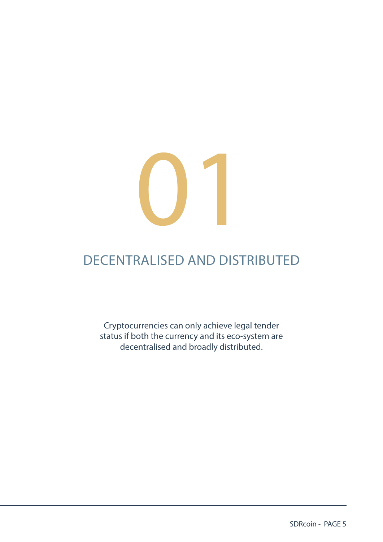

#### DECENTRALISED AND DISTRIBUTED

Cryptocurrencies can only achieve legal tender status if both the currency and its eco-system are decentralised and broadly distributed.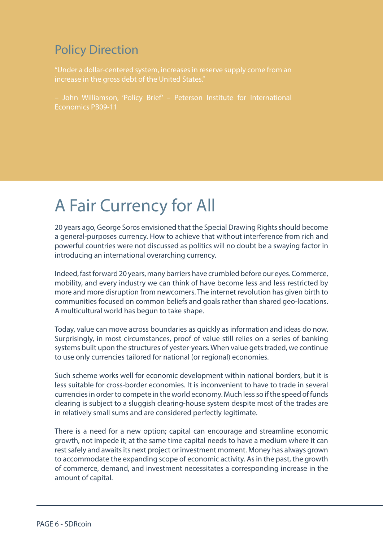#### <span id="page-5-0"></span>Policy Direction

["Under a dollar-centered system, increases in reserve supply come from an](http://www.sdrcoin.com) 

Economics PB09-11

#### A Fair Currency for All

20 years ago, George Soros envisioned that the Special Drawing Rights should become a general-purposes currency. How to achieve that without interference from rich and powerful countries were not discussed as politics will no doubt be a swaying factor in introducing an international overarching currency.

Indeed, fast forward 20 years, many barriers have crumbled before our eyes. Commerce, mobility, and every industry we can think of have become less and less restricted by more and more disruption from newcomers. The internet revolution has given birth to communities focused on common beliefs and goals rather than shared geo-locations. A multicultural world has begun to take shape.

Today, value can move across boundaries as quickly as information and ideas do now. Surprisingly, in most circumstances, proof of value still relies on a series of banking systems built upon the structures of yester-years. When value gets traded, we continue to use only currencies tailored for national (or regional) economies.

Such scheme works well for economic development within national borders, but it is less suitable for cross-border economies. It is inconvenient to have to trade in several currencies in order to compete in the world economy. Much less so if the speed of funds clearing is subject to a sluggish clearing-house system despite most of the trades are in relatively small sums and are considered perfectly legitimate.

There is a need for a new option; capital can encourage and streamline economic growth, not impede it; at the same time capital needs to have a medium where it can rest safely and awaits its next project or investment moment. Money has always grown to accommodate the expanding scope of economic activity. As in the past, the growth of commerce, demand, and investment necessitates a corresponding increase in the amount of capital.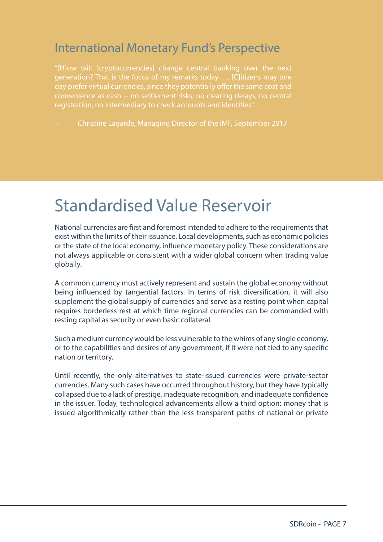#### <span id="page-6-0"></span>International Monetary Fund's Perspective

"[H]ow will [cryptocurrencies] change central banking over the next generation? That is the focus of my remarks today. . .. [C]itizens may one convenience as cash -- no settlement risks, no clearing delays, no central registration, no intermediary to check accounts and identities."

– Christine Lagarde, Managing Director of the IMF, September 2017

#### Standardised Value Reservoir

National currencies are first and foremost intended to adhere to the requirements that exist within the limits of their issuance. Local developments, such as economic policies or the state of the local economy, influence monetary policy. These considerations are not always applicable or consistent with a wider global concern when trading value globally.

A common currency must actively represent and sustain the global economy without being influenced by tangential factors. In terms of risk diversification, it will also supplement the global supply of currencies and serve as a resting point when capital requires borderless rest at which time regional currencies can be commanded with resting capital as security or even basic collateral.

Such a medium currency would be less vulnerable to the whims of any single economy, or to the capabilities and desires of any government, if it were not tied to any specific nation or territory.

Until recently, the only alternatives to state-issued currencies were private-sector currencies. Many such cases have occurred throughout history, but they have typically collapsed due to a lack of prestige, inadequate recognition, and inadequate confidence in the issuer. Today, technological advancements allow a third option: money that is issued algorithmically rather than the less transparent paths of national or private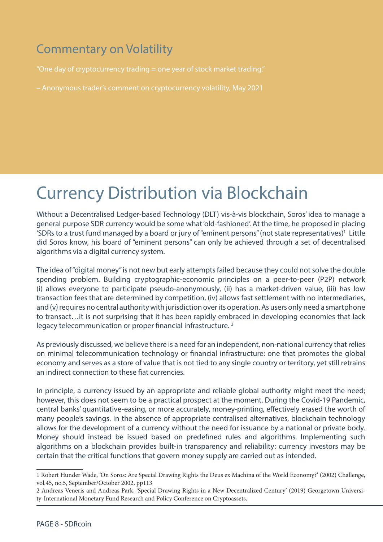#### <span id="page-7-0"></span>Commentary on Volatility

"One day of cryptocurrency trading = one year of stock market trading."

– Anonymous trader's comment on cryptocurrency volatility, May 2021

#### Currency Distribution via Blockchain

Without a Decentralised Ledger-based Technology (DLT) vis-à-vis blockchain, Soros' idea to manage a general purpose SDR currency would be some what 'old-fashioned'. At the time, he proposed in placing 'SDRs to a trust fund managed by a board or jury of "eminent persons" (not state representatives)<sup>1</sup> Little did Soros know, his board of "eminent persons" can only be achieved through a set of decentralised algorithms via a digital currency system.

The idea of "digital money" is not new but early attempts failed because they could not solve the double spending problem. Building cryptographic-economic principles on a peer-to-peer (P2P) network (i) allows everyone to participate pseudo-anonymously, (ii) has a market-driven value, (iii) has low transaction fees that are determined by competition, (iv) allows fast settlement with no intermediaries, and (v) requires no central authority with jurisdiction over its operation. As users only need a smartphone to transact…it is not surprising that it has been rapidly embraced in developing economies that lack legacy telecommunication or proper financial infrastructure.<sup>2</sup>

As previously discussed, we believe there is a need for an independent, non-national currency that relies on minimal telecommunication technology or financial infrastructure: one that promotes the global economy and serves as a store of value that is not tied to any single country or territory, yet still retrains an indirect connection to these fiat currencies.

In principle, a currency issued by an appropriate and reliable global authority might meet the need; however, this does not seem to be a practical prospect at the moment. During the Covid-19 Pandemic, central banks' quantitative-easing, or more accurately, money-printing, effectively erased the worth of many people's savings. In the absence of appropriate centralised alternatives, blockchain technology allows for the development of a currency without the need for issuance by a national or private body. Money should instead be issued based on predefined rules and algorithms. Implementing such algorithms on a blockchain provides built-in transparency and reliability: currency investors may be certain that the critical functions that govern money supply are carried out as intended.

<sup>1</sup> Robert Hunder Wade, 'On Soros: Are Special Drawing Rights the Deus ex Machina of the World Economy?' (2002) Challenge, vol.45, no.5, September/October 2002, pp113

<sup>2</sup> Andreas Veneris and Andreas Park, 'Special Drawing Rights in a New Decentralized Century' (2019) Georgetown University-International Monetary Fund Research and Policy Conference on Cryptoassets.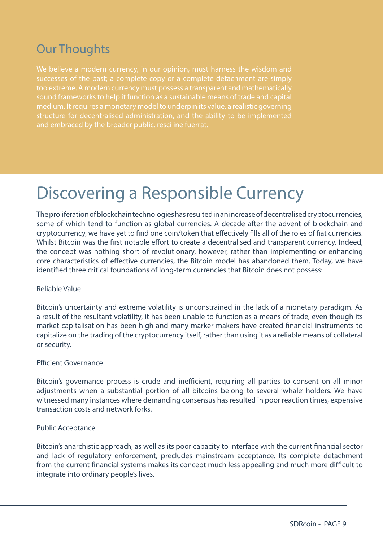#### <span id="page-8-0"></span>Our Thoughts

successes of the past; a complete copy or a complete detachment are simply sound frameworks to help it function as a sustainable means of trade and capital medium. It requires a monetary model to underpin its value, a realistic governing

#### Discovering a Responsible Currency

The proliferation of blockchain technologies has resulted in an increase of decentralised cryptocurrencies, some of which tend to function as global currencies. A decade after the advent of blockchain and cryptocurrency, we have yet to find one coin/token that effectively fills all of the roles of fiat currencies. Whilst Bitcoin was the first notable effort to create a decentralised and transparent currency. Indeed, the concept was nothing short of revolutionary, however, rather than implementing or enhancing core characteristics of effective currencies, the Bitcoin model has abandoned them. Today, we have identified three critical foundations of long-term currencies that Bitcoin does not possess:

#### Reliable Value

Bitcoin's uncertainty and extreme volatility is unconstrained in the lack of a monetary paradigm. As a result of the resultant volatility, it has been unable to function as a means of trade, even though its market capitalisation has been high and many marker-makers have created financial instruments to capitalize on the trading of the cryptocurrency itself, rather than using it as a reliable means of collateral or security.

#### Efficient Governance

Bitcoin's governance process is crude and inefficient, requiring all parties to consent on all minor adjustments when a substantial portion of all bitcoins belong to several 'whale' holders. We have witnessed many instances where demanding consensus has resulted in poor reaction times, expensive transaction costs and network forks.

#### Public Acceptance

Bitcoin's anarchistic approach, as well as its poor capacity to interface with the current financial sector and lack of regulatory enforcement, precludes mainstream acceptance. Its complete detachment from the current financial systems makes its concept much less appealing and much more difficult to integrate into ordinary people's lives.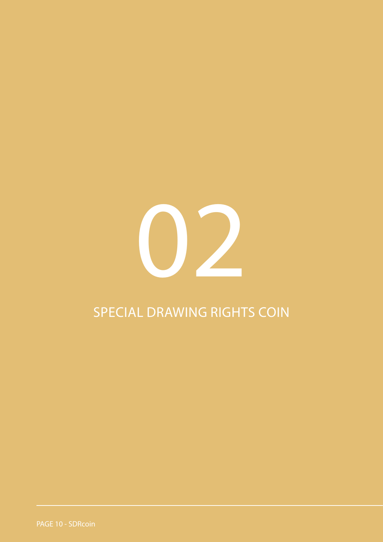

#### SPECIAL DRAWING RIGHTS COIN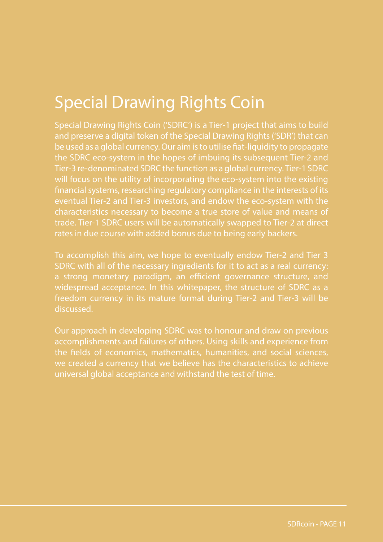#### <span id="page-10-0"></span>Special Drawing Rights Coin

Special Drawing Rights Coin ('SDRC') is a Tier-1 project that aims to build and preserve a digital token of the Special Drawing Rights ('SDR') that can be used as a global currency. Our aim is to utilise fiat-liquidity to propagate the SDRC eco-system in the hopes of imbuing its subsequent Tier-2 and Tier-3 re-denominated SDRC the function as a global currency. Tier-1 SDRC will focus on the utility of incorporating the eco-system into the existing financial systems, researching regulatory compliance in the interests of its eventual Tier-2 and Tier-3 investors, and endow the eco-system with the characteristics necessary to become a true store of value and means of trade. Tier-1 SDRC users will be automatically swapped to Tier-2 at direct rates in due course with added bonus due to being early backers.

To accomplish this aim, we hope to eventually endow Tier-2 and Tier 3 SDRC with all of the necessary ingredients for it to act as a real currency: a strong monetary paradigm, an efficient governance structure, and widespread acceptance. In this whitepaper, the structure of SDRC as a freedom currency in its mature format during Tier-2 and Tier-3 will be discussed.

Our approach in developing SDRC was to honour and draw on previous accomplishments and failures of others. Using skills and experience from the fields of economics, mathematics, humanities, and social sciences, we created a currency that we believe has the characteristics to achieve universal global acceptance and withstand the test of time.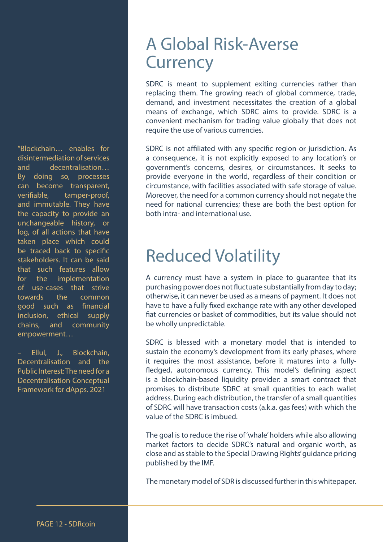<span id="page-11-0"></span>"Blockchain… enables for disintermediation of services and decentralisation… By doing so, processes can become transparent, verifiable, tamper-proof, and immutable. They have the capacity to provide an unchangeable history, or log, of all actions that have taken place which could be traced back to specific stakeholders. It can be said that such features allow for the implementation of use-cases that strive towards the common good such as financial inclusion, ethical supply chains, and community empowerment…

– Ellul, J., Blockchain, Decentralisation and the Public Interest: The need for a Decentralisation Conceptual Framework for dApps. 2021

#### A Global Risk-Averse **Currency**

SDRC is meant to supplement exiting currencies rather than replacing them. The growing reach of global commerce, trade, demand, and investment necessitates the creation of a global means of exchange, which SDRC aims to provide. SDRC is a convenient mechanism for trading value globally that does not require the use of various currencies.

SDRC is not affiliated with any specific region or jurisdiction. As a consequence, it is not explicitly exposed to any location's or government's concerns, desires, or circumstances. It seeks to provide everyone in the world, regardless of their condition or circumstance, with facilities associated with safe storage of value. Moreover, the need for a common currency should not negate the need for national currencies; these are both the best option for both intra- and international use.

#### Reduced Volatility

A currency must have a system in place to guarantee that its purchasing power does not fluctuate substantially from day to day; otherwise, it can never be used as a means of payment. It does not have to have a fully fixed exchange rate with any other developed fiat currencies or basket of commodities, but its value should not be wholly unpredictable.

SDRC is blessed with a monetary model that is intended to sustain the economy's development from its early phases, where it requires the most assistance, before it matures into a fullyfledged, autonomous currency. This model's defining aspect is a blockchain-based liquidity provider: a smart contract that promises to distribute SDRC at small quantities to each wallet address. During each distribution, the transfer of a small quantities of SDRC will have transaction costs (a.k.a. gas fees) with which the value of the SDRC is imbued.

The goal is to reduce the rise of 'whale' holders while also allowing market factors to decide SDRC's natural and organic worth, as close and as stable to the Special Drawing Rights' guidance pricing published by the IMF.

The monetary model of SDR is discussed further in this whitepaper.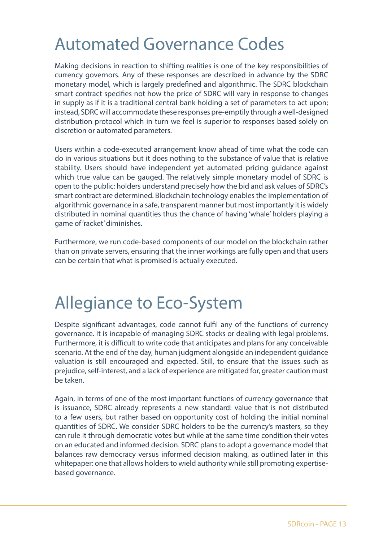#### <span id="page-12-0"></span>Automated Governance Codes

Making decisions in reaction to shifting realities is one of the key responsibilities of currency governors. Any of these responses are described in advance by the SDRC monetary model, which is largely predefined and algorithmic. The SDRC blockchain smart contract specifies not how the price of SDRC will vary in response to changes in supply as if it is a traditional central bank holding a set of parameters to act upon; instead, SDRC will accommodate these responses pre-emptily through a well-designed distribution protocol which in turn we feel is superior to responses based solely on discretion or automated parameters.

Users within a code-executed arrangement know ahead of time what the code can do in various situations but it does nothing to the substance of value that is relative stability. Users should have independent yet automated pricing guidance against which true value can be gauged. The relatively simple monetary model of SDRC is open to the public: holders understand precisely how the bid and ask values of SDRC's smart contract are determined. Blockchain technology enables the implementation of algorithmic governance in a safe, transparent manner but most importantly it is widely distributed in nominal quantities thus the chance of having 'whale' holders playing a game of 'racket' diminishes.

Furthermore, we run code-based components of our model on the blockchain rather than on private servers, ensuring that the inner workings are fully open and that users can be certain that what is promised is actually executed.

#### Allegiance to Eco-System

Despite significant advantages, code cannot fulfil any of the functions of currency governance. It is incapable of managing SDRC stocks or dealing with legal problems. Furthermore, it is difficult to write code that anticipates and plans for any conceivable scenario. At the end of the day, human judgment alongside an independent guidance valuation is still encouraged and expected. Still, to ensure that the issues such as prejudice, self-interest, and a lack of experience are mitigated for, greater caution must be taken.

Again, in terms of one of the most important functions of currency governance that is issuance, SDRC already represents a new standard: value that is not distributed to a few users, but rather based on opportunity cost of holding the initial nominal quantities of SDRC. We consider SDRC holders to be the currency's masters, so they can rule it through democratic votes but while at the same time condition their votes on an educated and informed decision. SDRC plans to adopt a governance model that balances raw democracy versus informed decision making, as outlined later in this whitepaper: one that allows holders to wield authority while still promoting expertisebased governance.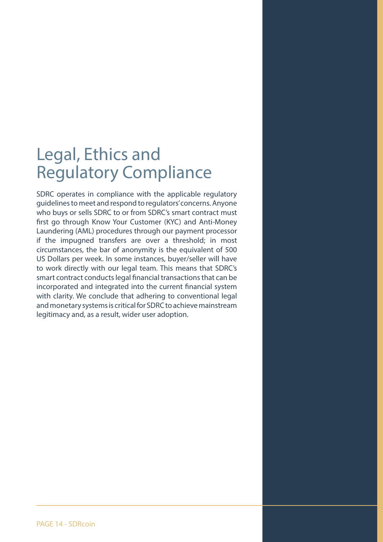#### <span id="page-13-0"></span>Legal, Ethics and Regulatory Compliance

SDRC operates in compliance with the applicable regulatory guidelines to meet and respond to regulators' concerns. Anyone who buys or sells SDRC to or from SDRC's smart contract must first go through Know Your Customer (KYC) and Anti-Money Laundering (AML) procedures through our payment processor if the impugned transfers are over a threshold; in most circumstances, the bar of anonymity is the equivalent of 500 US Dollars per week. In some instances, buyer/seller will have to work directly with our legal team. This means that SDRC's smart contract conducts legal financial transactions that can be incorporated and integrated into the current financial system with clarity. We conclude that adhering to conventional legal and monetary systems is critical for SDRC to achieve mainstream legitimacy and, as a result, wider user adoption.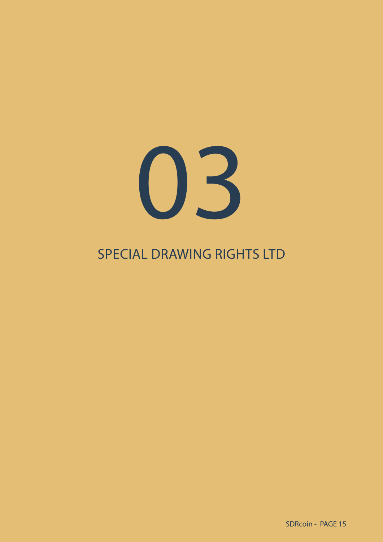

#### SPECIAL DRAWING RIGHTS LTD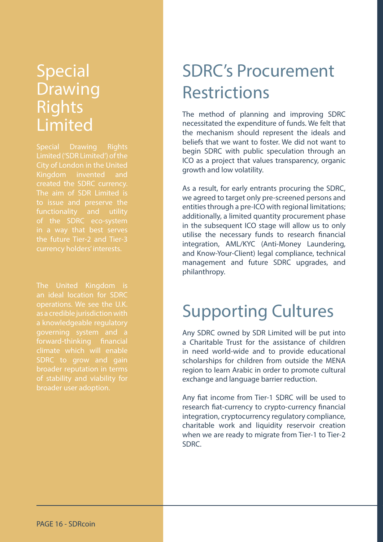#### <span id="page-15-0"></span>**Special** Drawing Rights Limited

Special Drawing Rights Kingdom invented and created the SDRC currency. The aim of SDR Limited is functionality and utility in a way that best serves

The United Kingdom is an ideal location for SDRC as a credible jurisdiction with a knowledgeable regulatory forward-thinking financial climate which will enable broader reputation in terms broader user adoption.

### SDRC's Procurement Restrictions

The method of planning and improving SDRC necessitated the expenditure of funds. We felt that the mechanism should represent the ideals and beliefs that we want to foster. We did not want to begin SDRC with public speculation through an ICO as a project that values transparency, organic growth and low volatility.

As a result, for early entrants procuring the SDRC, we agreed to target only pre-screened persons and entities through a pre-ICO with regional limitations; additionally, a limited quantity procurement phase in the subsequent ICO stage will allow us to only utilise the necessary funds to research financial integration, AML/KYC (Anti-Money Laundering, and Know-Your-Client) legal compliance, technical management and future SDRC upgrades, and philanthropy.

#### Supporting Cultures

Any SDRC owned by SDR Limited will be put into a Charitable Trust for the assistance of children in need world-wide and to provide educational scholarships for children from outside the MENA region to learn Arabic in order to promote cultural exchange and language barrier reduction.

Any fiat income from Tier-1 SDRC will be used to research fiat-currency to crypto-currency financial integration, cryptocurrency regulatory compliance, charitable work and liquidity reservoir creation when we are ready to migrate from Tier-1 to Tier-2 SDRC.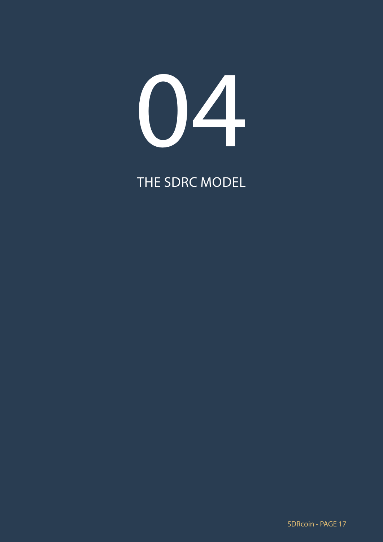# 04

THE SDRC MODEL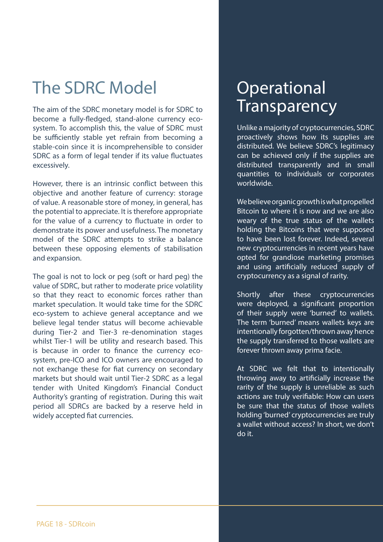#### <span id="page-17-0"></span>The SDRC Model

The aim of the SDRC monetary model is for SDRC to become a fully-fledged, stand-alone currency ecosystem. To accomplish this, the value of SDRC must be sufficiently stable yet refrain from becoming a stable-coin since it is incomprehensible to consider SDRC as a form of legal tender if its value fluctuates excessively.

However, there is an intrinsic conflict between this objective and another feature of currency: storage of value. A reasonable store of money, in general, has the potential to appreciate. It is therefore appropriate for the value of a currency to fluctuate in order to demonstrate its power and usefulness. The monetary model of the SDRC attempts to strike a balance between these opposing elements of stabilisation and expansion.

The goal is not to lock or peg (soft or hard peg) the value of SDRC, but rather to moderate price volatility so that they react to economic forces rather than market speculation. It would take time for the SDRC eco-system to achieve general acceptance and we believe legal tender status will become achievable during Tier-2 and Tier-3 re-denomination stages whilst Tier-1 will be utility and research based. This is because in order to finance the currency ecosystem, pre-ICO and ICO owners are encouraged to not exchange these for fiat currency on secondary markets but should wait until Tier-2 SDRC as a legal tender with United Kingdom's Financial Conduct Authority's granting of registration. During this wait period all SDRCs are backed by a reserve held in widely accepted fiat currencies.

#### **Operational Transparency**

Unlike a majority of cryptocurrencies, SDRC proactively shows how its supplies are distributed. We believe SDRC's legitimacy can be achieved only if the supplies are distributed transparently and in small quantities to individuals or corporates worldwide.

We believe organic growth is what propelled Bitcoin to where it is now and we are also weary of the true status of the wallets holding the Bitcoins that were supposed to have been lost forever. Indeed, several new cryptocurrencies in recent years have opted for grandiose marketing promises and using artificially reduced supply of cryptocurrency as a signal of rarity.

Shortly after these cryptocurrencies were deployed, a significant proportion of their supply were 'burned' to wallets. The term 'burned' means wallets keys are intentionally forgotten/thrown away hence the supply transferred to those wallets are forever thrown away prima facie.

At SDRC we felt that to intentionally throwing away to artificially increase the rarity of the supply is unreliable as such actions are truly verifiable: How can users be sure that the status of those wallets holding 'burned' cryptocurrencies are truly a wallet without access? In short, we don't do it.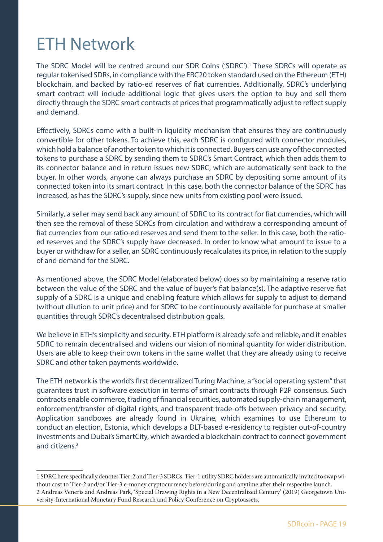#### <span id="page-18-0"></span>ETH Network

The SDRC Model will be centred around our SDR Coins ('SDRC').<sup>1</sup> These SDRCs will operate as regular tokenised SDRs, in compliance with the ERC20 token standard used on the Ethereum (ETH) blockchain, and backed by ratio-ed reserves of fiat currencies. Additionally, SDRC's underlying smart contract will include additional logic that gives users the option to buy and sell them directly through the SDRC smart contracts at prices that programmatically adjust to reflect supply and demand.

Effectively, SDRCs come with a built-in liquidity mechanism that ensures they are continuously convertible for other tokens. To achieve this, each SDRC is configured with connector modules, which hold a balance of another token to which it is connected. Buyers can use any of the connected tokens to purchase a SDRC by sending them to SDRC's Smart Contract, which then adds them to its connector balance and in return issues new SDRC, which are automatically sent back to the buyer. In other words, anyone can always purchase an SDRC by depositing some amount of its connected token into its smart contract. In this case, both the connector balance of the SDRC has increased, as has the SDRC's supply, since new units from existing pool were issued.

Similarly, a seller may send back any amount of SDRC to its contract for fiat currencies, which will then see the removal of these SDRCs from circulation and withdraw a corresponding amount of fiat currencies from our ratio-ed reserves and send them to the seller. In this case, both the ratioed reserves and the SDRC's supply have decreased. In order to know what amount to issue to a buyer or withdraw for a seller, an SDRC continuously recalculates its price, in relation to the supply of and demand for the SDRC.

As mentioned above, the SDRC Model (elaborated below) does so by maintaining a reserve ratio between the value of the SDRC and the value of buyer's fiat balance(s). The adaptive reserve fiat supply of a SDRC is a unique and enabling feature which allows for supply to adjust to demand (without dilution to unit price) and for SDRC to be continuously available for purchase at smaller quantities through SDRC's decentralised distribution goals.

We believe in ETH's simplicity and security. ETH platform is already safe and reliable, and it enables SDRC to remain decentralised and widens our vision of nominal quantity for wider distribution. Users are able to keep their own tokens in the same wallet that they are already using to receive SDRC and other token payments worldwide.

The ETH network is the world's first decentralized Turing Machine, a "social operating system" that guarantees trust in software execution in terms of smart contracts through P2P consensus. Such contracts enable commerce, trading of financial securities, automated supply-chain management, enforcement/transfer of digital rights, and transparent trade-offs between privacy and security. Application sandboxes are already found in Ukraine, which examines to use Ethereum to conduct an election, Estonia, which develops a DLT-based e-residency to register out-of-country investments and Dubai's SmartCity, which awarded a blockchain contract to connect government and citizens<sup>2</sup>

<sup>1</sup> SDRC here specifically denotes Tier-2 and Tier-3 SDRCs. Tier-1 utility SDRC holders are automatically invited to swap without cost to Tier-2 and/or Tier-3 e-money cryptocurrency before/during and anytime after their respective launch. 2 Andreas Veneris and Andreas Park, 'Special Drawing Rights in a New Decentralized Century' (2019) Georgetown University-International Monetary Fund Research and Policy Conference on Cryptoassets.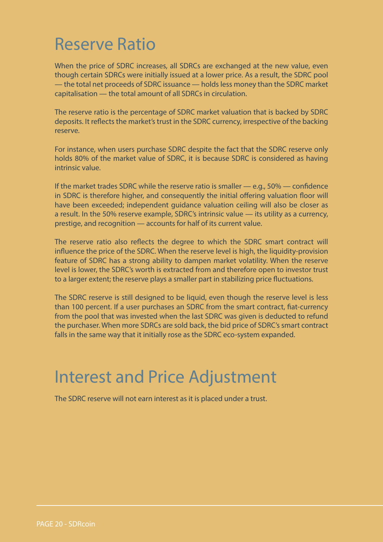#### <span id="page-19-0"></span>Reserve Ratio

When the price of SDRC increases, all SDRCs are exchanged at the new value, even though certain SDRCs were initially issued at a lower price. As a result, the SDRC pool — the total net proceeds of SDRC issuance — holds less money than the SDRC market capitalisation — the total amount of all SDRCs in circulation.

The reserve ratio is the percentage of SDRC market valuation that is backed by SDRC deposits. It reflects the market's trust in the SDRC currency, irrespective of the backing reserve.

For instance, when users purchase SDRC despite the fact that the SDRC reserve only holds 80% of the market value of SDRC, it is because SDRC is considered as having intrinsic value.

If the market trades SDRC while the reserve ratio is smaller — e.g., 50% — confidence in SDRC is therefore higher, and consequently the initial offering valuation floor will have been exceeded; independent guidance valuation ceiling will also be closer as a result. In the 50% reserve example, SDRC's intrinsic value — its utility as a currency, prestige, and recognition — accounts for half of its current value.

The reserve ratio also reflects the degree to which the SDRC smart contract will influence the price of the SDRC. When the reserve level is high, the liquidity-provision feature of SDRC has a strong ability to dampen market volatility. When the reserve level is lower, the SDRC's worth is extracted from and therefore open to investor trust to a larger extent; the reserve plays a smaller part in stabilizing price fluctuations.

The SDRC reserve is still designed to be liquid, even though the reserve level is less than 100 percent. If a user purchases an SDRC from the smart contract, fiat-currency from the pool that was invested when the last SDRC was given is deducted to refund the purchaser. When more SDRCs are sold back, the bid price of SDRC's smart contract falls in the same way that it initially rose as the SDRC eco-system expanded.

#### Interest and Price Adjustment

The SDRC reserve will not earn interest as it is placed under a trust.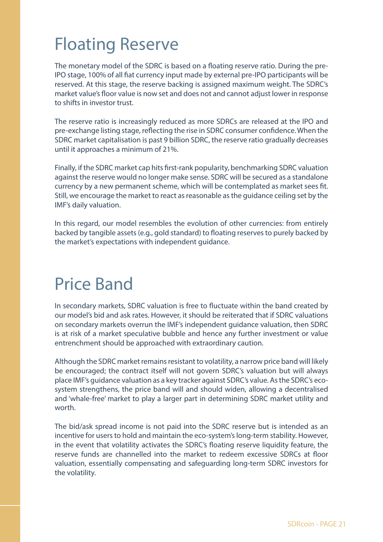### <span id="page-20-0"></span>Floating Reserve

The monetary model of the SDRC is based on a floating reserve ratio. During the pre-IPO stage, 100% of all fiat currency input made by external pre-IPO participants will be reserved. At this stage, the reserve backing is assigned maximum weight. The SDRC's market value's floor value is now set and does not and cannot adjust lower in response to shifts in investor trust.

The reserve ratio is increasingly reduced as more SDRCs are released at the IPO and pre-exchange listing stage, reflecting the rise in SDRC consumer confidence. When the SDRC market capitalisation is past 9 billion SDRC, the reserve ratio gradually decreases until it approaches a minimum of 21%.

Finally, if the SDRC market cap hits first-rank popularity, benchmarking SDRC valuation against the reserve would no longer make sense. SDRC will be secured as a standalone currency by a new permanent scheme, which will be contemplated as market sees fit. Still, we encourage the market to react as reasonable as the guidance ceiling set by the IMF's daily valuation.

In this regard, our model resembles the evolution of other currencies: from entirely backed by tangible assets (e.g., gold standard) to floating reserves to purely backed by the market's expectations with independent guidance.

#### Price Band

In secondary markets, SDRC valuation is free to fluctuate within the band created by our model's bid and ask rates. However, it should be reiterated that if SDRC valuations on secondary markets overrun the IMF's independent guidance valuation, then SDRC is at risk of a market speculative bubble and hence any further investment or value entrenchment should be approached with extraordinary caution.

Although the SDRC market remains resistant to volatility, a narrow price band will likely be encouraged; the contract itself will not govern SDRC's valuation but will always place IMF's guidance valuation as a key tracker against SDRC's value. As the SDRC's ecosystem strengthens, the price band will and should widen, allowing a decentralised and 'whale-free' market to play a larger part in determining SDRC market utility and worth

The bid/ask spread income is not paid into the SDRC reserve but is intended as an incentive for users to hold and maintain the eco-system's long-term stability. However, in the event that volatility activates the SDRC's floating reserve liquidity feature, the reserve funds are channelled into the market to redeem excessive SDRCs at floor valuation, essentially compensating and safeguarding long-term SDRC investors for the volatility.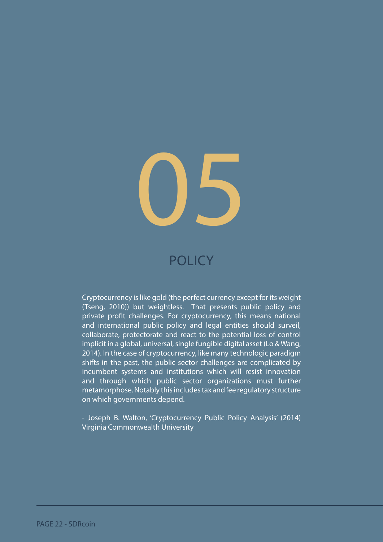

#### **POLICY**

Cryptocurrency is like gold (the perfect currency except for its weight (Tseng, 2010)) but weightless. That presents public policy and private profit challenges. For cryptocurrency, this means national and international public policy and legal entities should surveil, collaborate, protectorate and react to the potential loss of control implicit in a global, universal, single fungible digital asset (Lo & Wang, 2014). In the case of cryptocurrency, like many technologic paradigm shifts in the past, the public sector challenges are complicated by incumbent systems and institutions which will resist innovation and through which public sector organizations must further metamorphose. Notably this includes tax and fee regulatory structure on which governments depend.

- Joseph B. Walton, 'Cryptocurrency Public Policy Analysis' (2014) Virginia Commonwealth University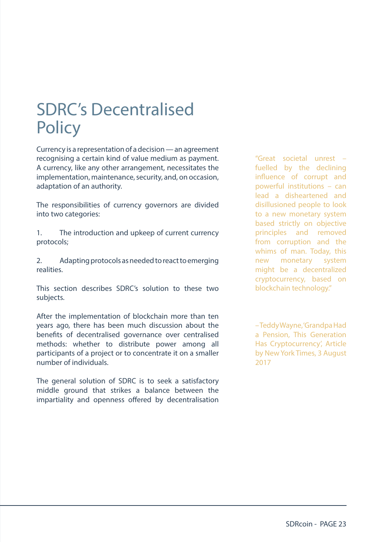#### <span id="page-22-0"></span>SDRC's Decentralised **Policy**

Currency is a representation of a decision — an agreement recognising a certain kind of value medium as payment. A currency, like any other arrangement, necessitates the implementation, maintenance, security, and, on occasion, adaptation of an authority.

The responsibilities of currency governors are divided into two categories:

1. The introduction and upkeep of current currency protocols;

2. Adapting protocols as needed to react to emerging realities.

This section describes SDRC's solution to these two subjects.

After the implementation of blockchain more than ten years ago, there has been much discussion about the benefits of decentralised governance over centralised methods: whether to distribute power among all participants of a project or to concentrate it on a smaller number of individuals.

The general solution of SDRC is to seek a satisfactory middle ground that strikes a balance between the impartiality and openness offered by decentralisation

"Great societal unrest – fuelled by the declining influence of corrupt and powerful institutions – can lead a disheartened and disillusioned people to look to a new monetary system based strictly on objective principles and removed from corruption and the whims of man. Today, this new monetary system might be a decentralized cryptocurrency, based on blockchain technology."

– Teddy Wayne, 'Grandpa Had a Pension, This Generation Has Cryptocurrency', Article by New York Times, 3 August 2017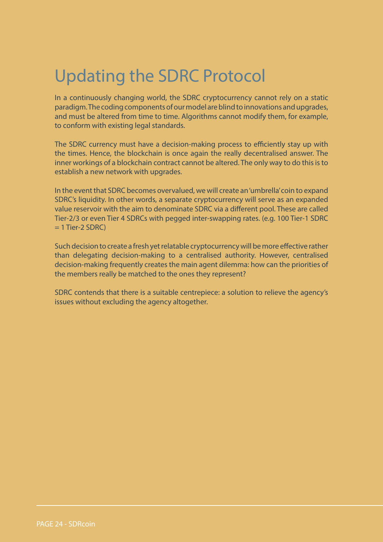### <span id="page-23-0"></span>Updating the SDRC Protocol

In a continuously changing world, the SDRC cryptocurrency cannot rely on a static paradigm. The coding components of our model are blind to innovations and upgrades, and must be altered from time to time. Algorithms cannot modify them, for example, to conform with existing legal standards.

The SDRC currency must have a decision-making process to efficiently stay up with the times. Hence, the blockchain is once again the really decentralised answer. The inner workings of a blockchain contract cannot be altered. The only way to do this is to establish a new network with upgrades.

In the event that SDRC becomes overvalued, we will create an 'umbrella' coin to expand SDRC's liquidity. In other words, a separate cryptocurrency will serve as an expanded value reservoir with the aim to denominate SDRC via a different pool. These are called Tier-2/3 or even Tier 4 SDRCs with pegged inter-swapping rates. (e.g. 100 Tier-1 SDRC  $= 1$  Tier-2 SDRC)

Such decision to create a fresh yet relatable cryptocurrency will be more effective rather than delegating decision-making to a centralised authority. However, centralised decision-making frequently creates the main agent dilemma: how can the priorities of the members really be matched to the ones they represent?

SDRC contends that there is a suitable centrepiece: a solution to relieve the agency's issues without excluding the agency altogether.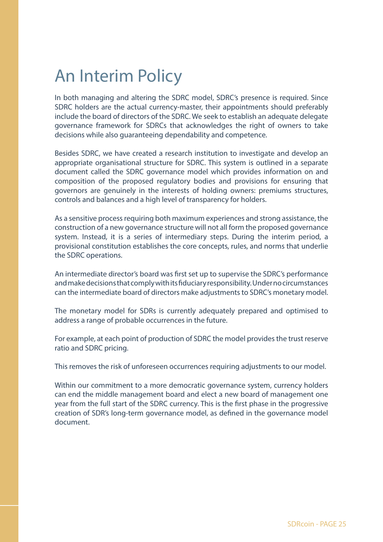#### <span id="page-24-0"></span>An Interim Policy

In both managing and altering the SDRC model, SDRC's presence is required. Since SDRC holders are the actual currency-master, their appointments should preferably include the board of directors of the SDRC. We seek to establish an adequate delegate governance framework for SDRCs that acknowledges the right of owners to take decisions while also guaranteeing dependability and competence.

Besides SDRC, we have created a research institution to investigate and develop an appropriate organisational structure for SDRC. This system is outlined in a separate document called the SDRC governance model which provides information on and composition of the proposed regulatory bodies and provisions for ensuring that governors are genuinely in the interests of holding owners: premiums structures, controls and balances and a high level of transparency for holders.

As a sensitive process requiring both maximum experiences and strong assistance, the construction of a new governance structure will not all form the proposed governance system. Instead, it is a series of intermediary steps. During the interim period, a provisional constitution establishes the core concepts, rules, and norms that underlie the SDRC operations.

An intermediate director's board was first set up to supervise the SDRC's performance and make decisions that comply with its fiduciary responsibility. Under no circumstances can the intermediate board of directors make adjustments to SDRC's monetary model.

The monetary model for SDRs is currently adequately prepared and optimised to address a range of probable occurrences in the future.

For example, at each point of production of SDRC the model provides the trust reserve ratio and SDRC pricing.

This removes the risk of unforeseen occurrences requiring adjustments to our model.

Within our commitment to a more democratic governance system, currency holders can end the middle management board and elect a new board of management one year from the full start of the SDRC currency. This is the first phase in the progressive creation of SDR's long-term governance model, as defined in the governance model document.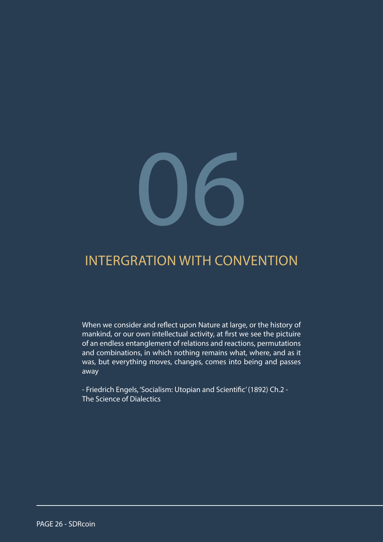# 06

#### INTERGRATION WITH CONVENTION

When we consider and reflect upon Nature at large, or the history of mankind, or our own intellectual activity, at first we see the pictuire of an endless entanglement of relations and reactions, permutations and combinations, in which nothing remains what, where, and as it was, but everything moves, changes, comes into being and passes away

- Friedrich Engels, 'Socialism: Utopian and Scientific' (1892) Ch.2 - The Science of Dialectics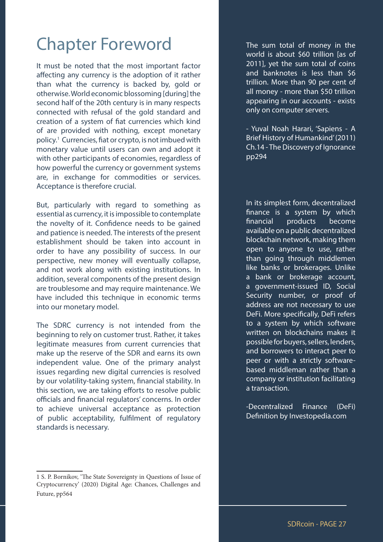#### <span id="page-26-0"></span>Chapter Foreword

It must be noted that the most important factor affecting any currency is the adoption of it rather than what the currency is backed by, gold or otherwise. World economic blossoming [during] the second half of the 20th century is in many respects connected with refusal of the gold standard and creation of a system of fiat currencies which kind of are provided with nothing, except monetary policy.1 Currencies, fiat or crypto, is not imbued with monetary value until users can own and adopt it with other participants of economies, regardless of how powerful the currency or government systems are, in exchange for commodities or services. Acceptance is therefore crucial.

But, particularly with regard to something as essential as currency, it is impossible to contemplate the novelty of it. Confidence needs to be gained and patience is needed. The interests of the present establishment should be taken into account in order to have any possibility of success. In our perspective, new money will eventually collapse, and not work along with existing institutions. In addition, several components of the present design are troublesome and may require maintenance. We have included this technique in economic terms into our monetary model.

The SDRC currency is not intended from the beginning to rely on customer trust. Rather, it takes legitimate measures from current currencies that make up the reserve of the SDR and earns its own independent value. One of the primary analyst issues regarding new digital currencies is resolved by our volatility-taking system, financial stability. In this section, we are taking efforts to resolve public officials and financial regulators' concerns. In order to achieve universal acceptance as protection of public acceptability, fulfilment of regulatory standards is necessary.

1 S. P. Bornikov, 'The State Sovereignty in Questions of Issue of Cryptocurrency' (2020) Digital Age: Chances, Challenges and Future, pp564

The sum total of money in the world is about \$60 trillion [as of 2011], yet the sum total of coins and banknotes is less than \$6 trillion. More than 90 per cent of all money - more than \$50 trillion appearing in our accounts - exists only on computer servers.

- Yuval Noah Harari, 'Sapiens - A Brief History of Humankind' (2011) Ch.14 - The Discovery of Ignorance pp294

In its simplest form, decentralized finance is a system by which financial products become available on a public decentralized blockchain network, making them open to anyone to use, rather than going through middlemen like banks or brokerages. Unlike a bank or brokerage account, a government-issued ID, Social Security number, or proof of address are not necessary to use DeFi. More specifically, DeFi refers to a system by which software written on blockchains makes it possible for buyers, sellers, lenders, and borrowers to interact peer to peer or with a strictly softwarebased middleman rather than a company or institution facilitating a transaction.

-Decentralized Finance (DeFi) Definition by Investopedia.com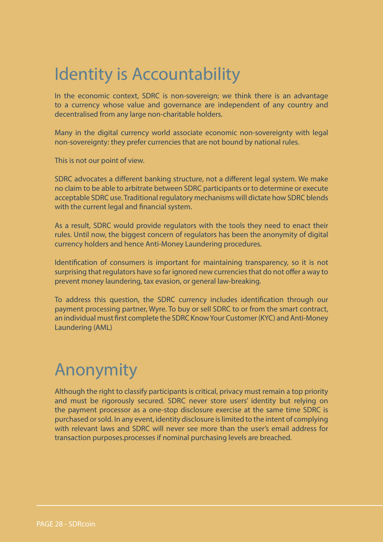#### <span id="page-27-0"></span>Identity is Accountability

In the economic context, SDRC is non-sovereign; we think there is an advantage to a currency whose value and governance are independent of any country and decentralised from any large non-charitable holders.

Many in the digital currency world associate economic non-sovereignty with legal non-sovereignty: they prefer currencies that are not bound by national rules.

This is not our point of view.

SDRC advocates a different banking structure, not a different legal system. We make no claim to be able to arbitrate between SDRC participants or to determine or execute acceptable SDRC use. Traditional regulatory mechanisms will dictate how SDRC blends with the current legal and financial system.

As a result, SDRC would provide regulators with the tools they need to enact their rules. Until now, the biggest concern of regulators has been the anonymity of digital currency holders and hence Anti-Money Laundering procedures.

Identification of consumers is important for maintaining transparency, so it is not surprising that regulators have so far ignored new currencies that do not offer a way to prevent money laundering, tax evasion, or general law-breaking.

To address this question, the SDRC currency includes identification through our payment processing partner, Wyre. To buy or sell SDRC to or from the smart contract, an individual must first complete the SDRC Know Your Customer (KYC) and Anti-Money Laundering (AML)

#### Anonymity

Although the right to classify participants is critical, privacy must remain a top priority and must be rigorously secured. SDRC never store users' identity but relying on the payment processor as a one-stop disclosure exercise at the same time SDRC is purchased or sold. In any event, identity disclosure is limited to the intent of complying with relevant laws and SDRC will never see more than the user's email address for transaction purposes.processes if nominal purchasing levels are breached.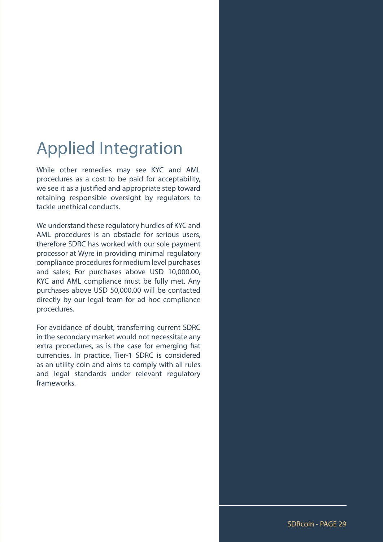#### <span id="page-28-0"></span>Applied Integration

While other remedies may see KYC and AML procedures as a cost to be paid for acceptability, we see it as a justified and appropriate step toward retaining responsible oversight by regulators to tackle unethical conducts.

We understand these regulatory hurdles of KYC and AML procedures is an obstacle for serious users, therefore SDRC has worked with our sole payment processor at Wyre in providing minimal regulatory compliance procedures for medium level purchases and sales; For purchases above USD 10,000.00, KYC and AML compliance must be fully met. Any purchases above USD 50,000.00 will be contacted directly by our legal team for ad hoc compliance procedures.

For avoidance of doubt, transferring current SDRC in the secondary market would not necessitate any extra procedures, as is the case for emerging fiat currencies. In practice, Tier-1 SDRC is considered as an utility coin and aims to comply with all rules and legal standards under relevant regulatory frameworks.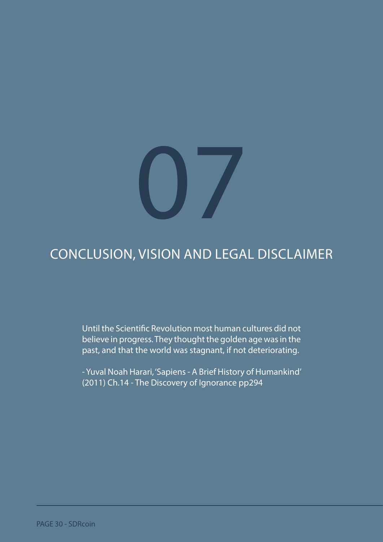# 07

#### CONCLUSION, VISION AND LEGAL DISCLAIMER

Until the Scientific Revolution most human cultures did not believe in progress. They thought the golden age was in the past, and that the world was stagnant, if not deteriorating.

- Yuval Noah Harari, 'Sapiens - A Brief History of Humankind' (2011) Ch.14 - The Discovery of Ignorance pp294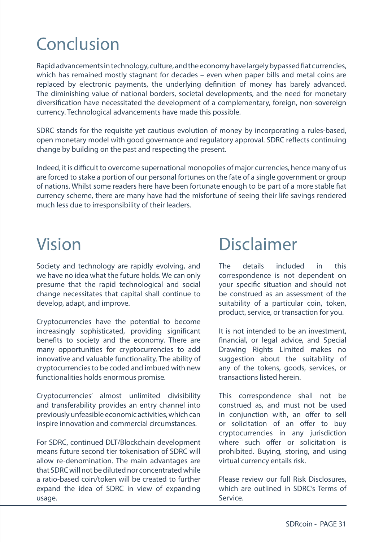## <span id="page-30-0"></span>Conclusion

Rapid advancements in technology, culture, and the economy have largely bypassed fiat currencies, which has remained mostly stagnant for decades – even when paper bills and metal coins are replaced by electronic payments, the underlying definition of money has barely advanced. The diminishing value of national borders, societal developments, and the need for monetary diversification have necessitated the development of a complementary, foreign, non-sovereign currency. Technological advancements have made this possible.

SDRC stands for the requisite yet cautious evolution of money by incorporating a rules-based, open monetary model with good governance and regulatory approval. SDRC reflects continuing change by building on the past and respecting the present.

Indeed, it is difficult to overcome supernational monopolies of major currencies, hence many of us are forced to stake a portion of our personal fortunes on the fate of a single government or group of nations. Whilst some readers here have been fortunate enough to be part of a more stable fiat currency scheme, there are many have had the misfortune of seeing their life savings rendered much less due to irresponsibility of their leaders.

#### Vision

Society and technology are rapidly evolving, and we have no idea what the future holds. We can only presume that the rapid technological and social change necessitates that capital shall continue to develop, adapt, and improve.

Cryptocurrencies have the potential to become increasingly sophisticated, providing significant benefits to society and the economy. There are many opportunities for cryptocurrencies to add innovative and valuable functionality. The ability of cryptocurrencies to be coded and imbued with new functionalities holds enormous promise.

Cryptocurrencies' almost unlimited divisibility and transferability provides an entry channel into previously unfeasible economic activities, which can inspire innovation and commercial circumstances.

For SDRC, continued DLT/Blockchain development means future second tier tokenisation of SDRC will allow re-denomination. The main advantages are that SDRC will not be diluted nor concentrated while a ratio-based coin/token will be created to further expand the idea of SDRC in view of expanding usage.

#### Disclaimer

The details included in this correspondence is not dependent on your specific situation and should not be construed as an assessment of the suitability of a particular coin, token, product, service, or transaction for you.

It is not intended to be an investment, financial, or legal advice, and Special Drawing Rights Limited makes no suggestion about the suitability of any of the tokens, goods, services, or transactions listed herein.

This correspondence shall not be construed as, and must not be used in conjunction with, an offer to sell or solicitation of an offer to buy cryptocurrencies in any jurisdiction where such offer or solicitation is prohibited. Buying, storing, and using virtual currency entails risk.

Please review our full Risk Disclosures, which are outlined in SDRC's Terms of Service.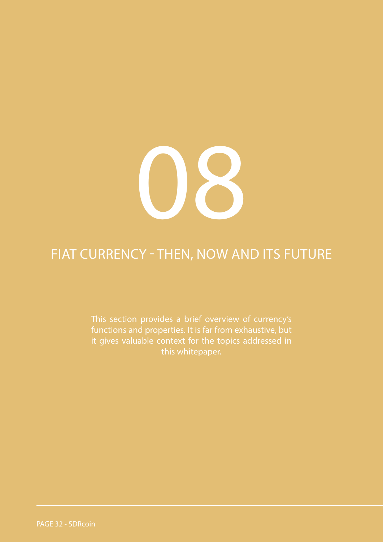

#### FIAT CURRENCY - THEN, NOW AND ITS FUTURE

This section provides a brief overview of currency's functions and properties. It is far from exhaustive, but it gives valuable context for the topics addressed in this whitepaper.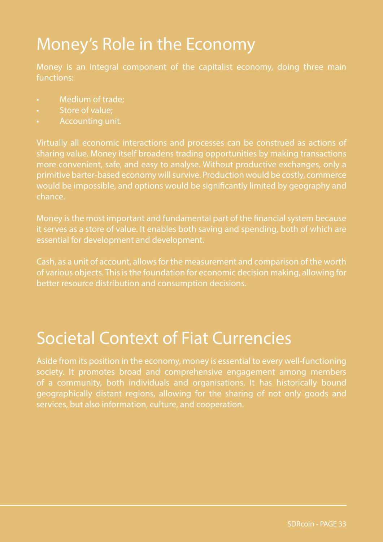## <span id="page-32-0"></span>Money's Role in the Economy

Money is an integral component of the capitalist economy, doing three main functions:

- Medium of trade;
- Store of value;
- Accounting unit.

sharing value. Money itself broadens trading opportunities by making transactions more convenient, safe, and easy to analyse. Without productive exchanges, only a primitive barter-based economy will survive. Production would be costly, commerce would be impossible, and options would be significantly limited by geography and chance.

Money is the most important and fundamental part of the financial system because it serves as a store of value. It enables both saving and spending, both of which are essential for development and development.

Cash, as a unit of account, allows for the measurement and comparison of the worth of various objects. This is the foundation for economic decision making, allowing for better resource distribution and consumption decisions.

#### Societal Context of Fiat Currencies

Aside from its position in the economy, money is essential to every well-functioning society. It promotes broad and comprehensive engagement among members of a community, both individuals and organisations. It has historically bound geographically distant regions, allowing for the sharing of not only goods and services, but also information, culture, and cooperation.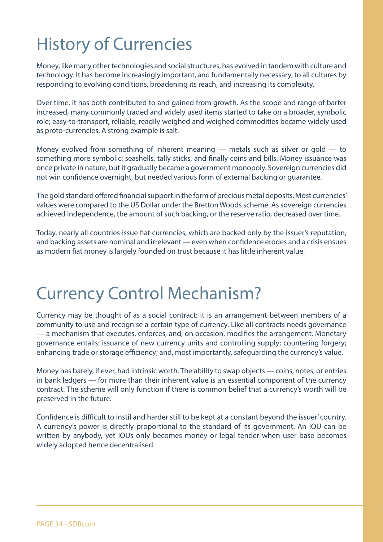# <span id="page-33-0"></span>History of Currencies

Money, like many other technologies and social structures, has evolved in tandem with culture and technology. It has become increasingly important, and fundamentally necessary, to all cultures by responding to evolving conditions, broadening its reach, and increasing its complexity.

Over time, it has both contributed to and gained from growth. As the scope and range of barter increased, many commonly traded and widely used items started to take on a broader, symbolic role; easy-to-transport, reliable, readily weighed and weighed commodities became widely used as proto-currencies. A strong example is salt.

Money evolved from something of inherent meaning  $-$  metals such as silver or gold  $-$  to something more symbolic: seashells, tally sticks, and finally coins and bills. Money issuance was once private in nature, but it gradually became a government monopoly. Sovereign currencies did not win confidence overnight, but needed various form of external backing or guarantee.

The gold standard offered financial support in the form of precious metal deposits. Most currencies' values were compared to the US Dollar under the Bretton Woods scheme. As sovereign currencies achieved independence, the amount of such backing, or the reserve ratio, decreased over time.

Today, nearly all countries issue fiat currencies, which are backed only by the issuer's reputation, and backing assets are nominal and irrelevant — even when confidence erodes and a crisis ensues as modern fiat money is largely founded on trust because it has little inherent value.

#### Currency Control Mechanism?

Currency may be thought of as a social contract: it is an arrangement between members of a community to use and recognise a certain type of currency. Like all contracts needs governance — a mechanism that executes, enforces, and, on occasion, modifies the arrangement. Monetary governance entails: issuance of new currency units and controlling supply; countering forgery; enhancing trade or storage efficiency; and, most importantly, safeguarding the currency's value.

Money has barely, if ever, had intrinsic worth. The ability to swap objects — coins, notes, or entries in bank ledgers — for more than their inherent value is an essential component of the currency contract. The scheme will only function if there is common belief that a currency's worth will be preserved in the future.

Confidence is difficult to instil and harder still to be kept at a constant beyond the issuer' country. A currency's power is directly proportional to the standard of its government. An IOU can be written by anybody, yet IOUs only becomes money or legal tender when user base becomes widely adopted hence decentralised.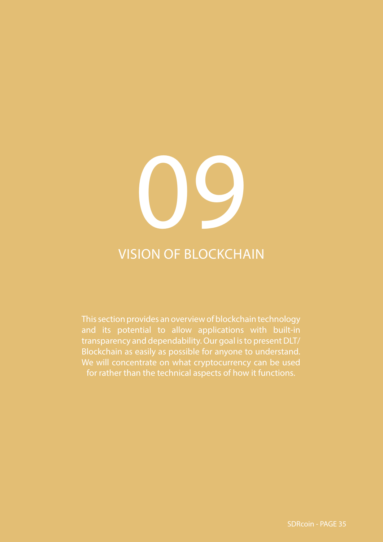# 2

#### VISION OF BLOCKCHAIN

This section provides an overview of blockchain technology and its potential to allow applications with built-in transparency and dependability. Our goal is to present DLT/ Blockchain as easily as possible for anyone to understand. We will concentrate on what cryptocurrency can be used for rather than the technical aspects of how it functions.